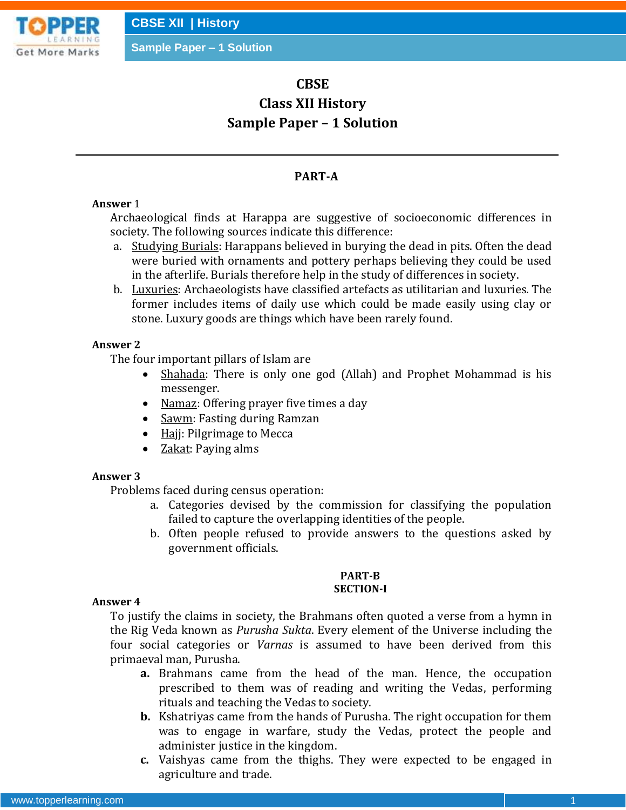

# **CBSE**

# **Class XII History Sample Paper – 1 Solution**

# **PART-A**

# **Answer** 1

Archaeological finds at Harappa are suggestive of socioeconomic differences in society. The following sources indicate this difference:

- a. Studying Burials: Harappans believed in burying the dead in pits. Often the dead were buried with ornaments and pottery perhaps believing they could be used in the afterlife. Burials therefore help in the study of differences in society.
- b. Luxuries: Archaeologists have classified artefacts as utilitarian and luxuries. The former includes items of daily use which could be made easily using clay or stone. Luxury goods are things which have been rarely found.

# **Answer 2**

The four important pillars of Islam are

- Shahada: There is only one god (Allah) and Prophet Mohammad is his messenger.
- Namaz: Offering prayer five times a day
- Sawm: Fasting during Ramzan
- $\bullet$  Hajj: Pilgrimage to Mecca
- Zakat: Paying alms

# **Answer 3**

Problems faced during census operation:

- a. Categories devised by the commission for classifying the population failed to capture the overlapping identities of the people.
- b. Often people refused to provide answers to the questions asked by government officials.

#### **PART-B SECTION-I**

# **Answer 4**

To justify the claims in society, the Brahmans often quoted a verse from a hymn in the Rig Veda known as *Purusha Sukta*. Every element of the Universe including the four social categories or *Varnas* is assumed to have been derived from this primaeval man, Purusha.

- **a.** Brahmans came from the head of the man. Hence, the occupation prescribed to them was of reading and writing the Vedas, performing rituals and teaching the Vedas to society.
- **b.** Kshatriyas came from the hands of Purusha. The right occupation for them was to engage in warfare, study the Vedas, protect the people and administer justice in the kingdom.
- **c.** Vaishyas came from the thighs. They were expected to be engaged in agriculture and trade.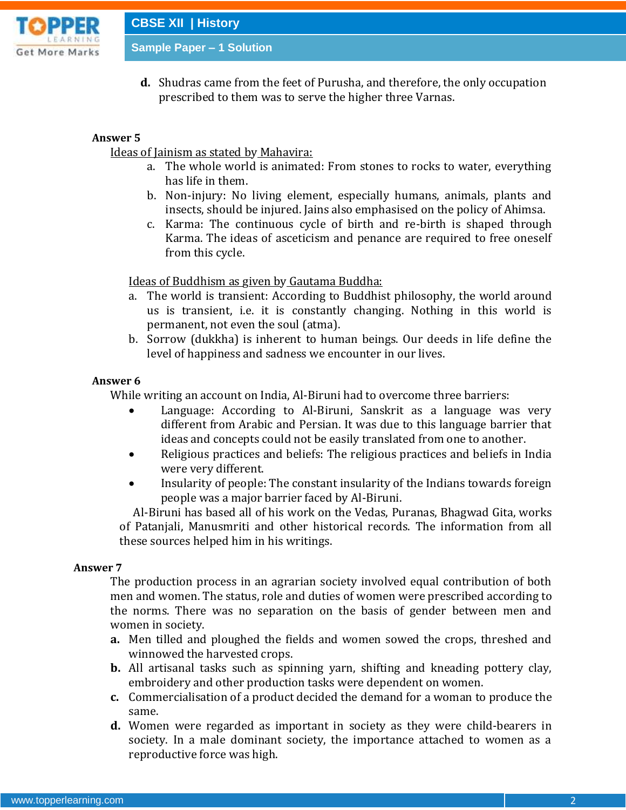

**CBSE XII | History**

**Sample Paper – 1 Solution**

**d.** Shudras came from the feet of Purusha, and therefore, the only occupation prescribed to them was to serve the higher three Varnas.

#### **Answer 5**

Ideas of Jainism as stated by Mahavira:

- a. The whole world is animated: From stones to rocks to water, everything has life in them.
- b. Non-injury: No living element, especially humans, animals, plants and insects, should be injured. Jains also emphasised on the policy of Ahimsa.
- c. Karma: The continuous cycle of birth and re-birth is shaped through Karma. The ideas of asceticism and penance are required to free oneself from this cycle.

Ideas of Buddhism as given by Gautama Buddha:

- a. The world is transient: According to Buddhist philosophy, the world around us is transient, i.e. it is constantly changing. Nothing in this world is permanent, not even the soul (atma).
- b. Sorrow (dukkha) is inherent to human beings. Our deeds in life define the level of happiness and sadness we encounter in our lives.

#### **Answer 6**

While writing an account on India, Al-Biruni had to overcome three barriers:

- Language: According to Al-Biruni, Sanskrit as a language was very different from Arabic and Persian. It was due to this language barrier that ideas and concepts could not be easily translated from one to another.
- Religious practices and beliefs: The religious practices and beliefs in India were very different.
- Insularity of people: The constant insularity of the Indians towards foreign people was a major barrier faced by Al-Biruni.

 Al-Biruni has based all of his work on the Vedas, Puranas, Bhagwad Gita, works of Patanjali, Manusmriti and other historical records. The information from all these sources helped him in his writings.

#### **Answer 7**

The production process in an agrarian society involved equal contribution of both men and women. The status, role and duties of women were prescribed according to the norms. There was no separation on the basis of gender between men and women in society.

- **a.** Men tilled and ploughed the fields and women sowed the crops, threshed and winnowed the harvested crops.
- **b.** All artisanal tasks such as spinning yarn, shifting and kneading pottery clay, embroidery and other production tasks were dependent on women.
- **c.** Commercialisation of a product decided the demand for a woman to produce the same.
- **d.** Women were regarded as important in society as they were child-bearers in society. In a male dominant society, the importance attached to women as a reproductive force was high.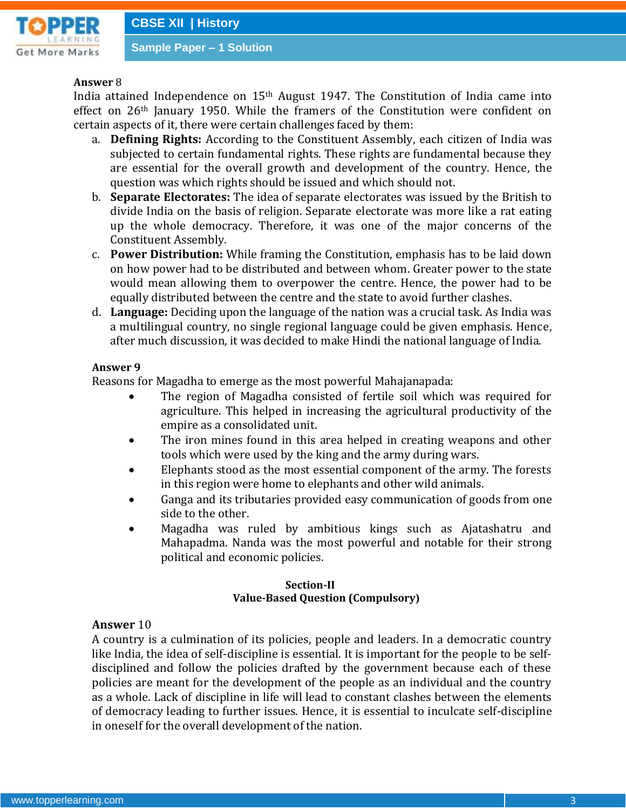

### **Answer** 8

India attained Independence on  $15<sup>th</sup>$  August 1947. The Constitution of India came into effect on 26th January 1950. While the framers of the Constitution were confident on certain aspects of it, there were certain challenges faced by them:

- a. **Defining Rights:** According to the Constituent Assembly, each citizen of India was subjected to certain fundamental rights. These rights are fundamental because they are essential for the overall growth and development of the country. Hence, the question was which rights should be issued and which should not.
- b. **Separate Electorates:** The idea of separate electorates was issued by the British to divide India on the basis of religion. Separate electorate was more like a rat eating up the whole democracy. Therefore, it was one of the major concerns of the Constituent Assembly.
- c. **Power Distribution:** While framing the Constitution, emphasis has to be laid down on how power had to be distributed and between whom. Greater power to the state would mean allowing them to overpower the centre. Hence, the power had to be equally distributed between the centre and the state to avoid further clashes.
- d. **Language:** Deciding upon the language of the nation was a crucial task. As India was a multilingual country, no single regional language could be given emphasis. Hence, after much discussion, it was decided to make Hindi the national language of India.

#### **Answer 9**

Reasons for Magadha to emerge as the most powerful Mahajanapada:

- The region of Magadha consisted of fertile soil which was required for agriculture. This helped in increasing the agricultural productivity of the empire as a consolidated unit.
- The iron mines found in this area helped in creating weapons and other tools which were used by the king and the army during wars.
- Elephants stood as the most essential component of the army. The forests in this region were home to elephants and other wild animals.
- Ganga and its tributaries provided easy communication of goods from one side to the other.
- Magadha was ruled by ambitious kings such as Ajatashatru and Mahapadma. Nanda was the most powerful and notable for their strong political and economic policies.

#### **Section-II Value-Based Question (Compulsory)**

#### **Answer** 10

A country is a culmination of its policies, people and leaders. In a democratic country like India, the idea of self-discipline is essential. It is important for the people to be selfdisciplined and follow the policies drafted by the government because each of these policies are meant for the development of the people as an individual and the country as a whole. Lack of discipline in life will lead to constant clashes between the elements of democracy leading to further issues. Hence, it is essential to inculcate self-discipline in oneself for the overall development of the nation.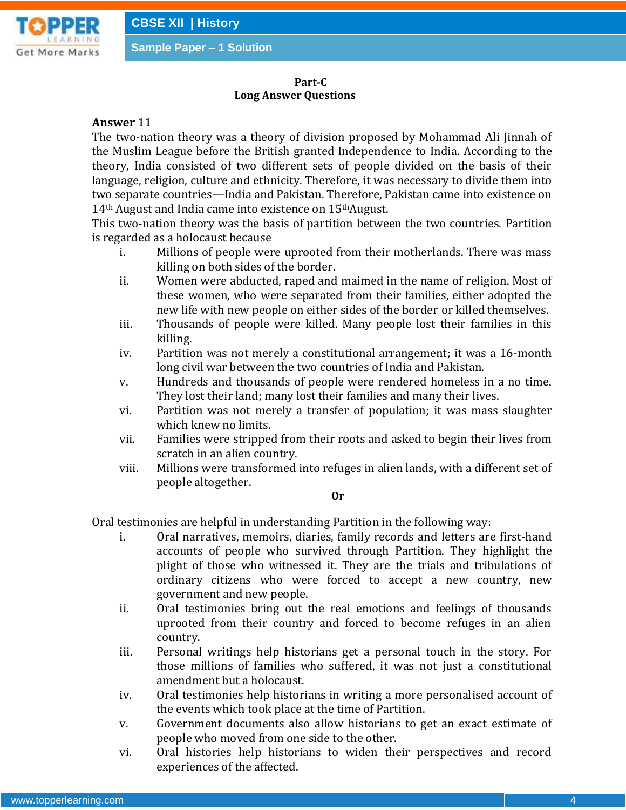

#### **Part-C Long Answer Questions**

#### **Answer** 11

The two-nation theory was a theory of division proposed by Mohammad Ali Jinnah of the Muslim League before the British granted Independence to India. According to the theory, India consisted of two different sets of people divided on the basis of their language, religion, culture and ethnicity. Therefore, it was necessary to divide them into two separate countries—India and Pakistan. Therefore, Pakistan came into existence on 14th August and India came into existence on 15thAugust.

This two-nation theory was the basis of partition between the two countries. Partition is regarded as a holocaust because

- i. Millions of people were uprooted from their motherlands. There was mass killing on both sides of the border.
- ii. Women were abducted, raped and maimed in the name of religion. Most of these women, who were separated from their families, either adopted the new life with new people on either sides of the border or killed themselves.
- iii. Thousands of people were killed. Many people lost their families in this killing.
- iv. Partition was not merely a constitutional arrangement; it was a 16-month long civil war between the two countries of India and Pakistan.
- v. Hundreds and thousands of people were rendered homeless in a no time. They lost their land; many lost their families and many their lives.
- vi. Partition was not merely a transfer of population; it was mass slaughter which knew no limits.
- vii. Families were stripped from their roots and asked to begin their lives from scratch in an alien country.
- viii. Millions were transformed into refuges in alien lands, with a different set of people altogether.

#### **Or**

Oral testimonies are helpful in understanding Partition in the following way:

- i. Oral narratives, memoirs, diaries, family records and letters are first-hand accounts of people who survived through Partition. They highlight the plight of those who witnessed it. They are the trials and tribulations of ordinary citizens who were forced to accept a new country, new government and new people.
- ii. Oral testimonies bring out the real emotions and feelings of thousands uprooted from their country and forced to become refuges in an alien country.
- iii. Personal writings help historians get a personal touch in the story. For those millions of families who suffered, it was not just a constitutional amendment but a holocaust.
- iv. Oral testimonies help historians in writing a more personalised account of the events which took place at the time of Partition.
- v. Government documents also allow historians to get an exact estimate of people who moved from one side to the other.
- vi. Oral histories help historians to widen their perspectives and record experiences of the affected.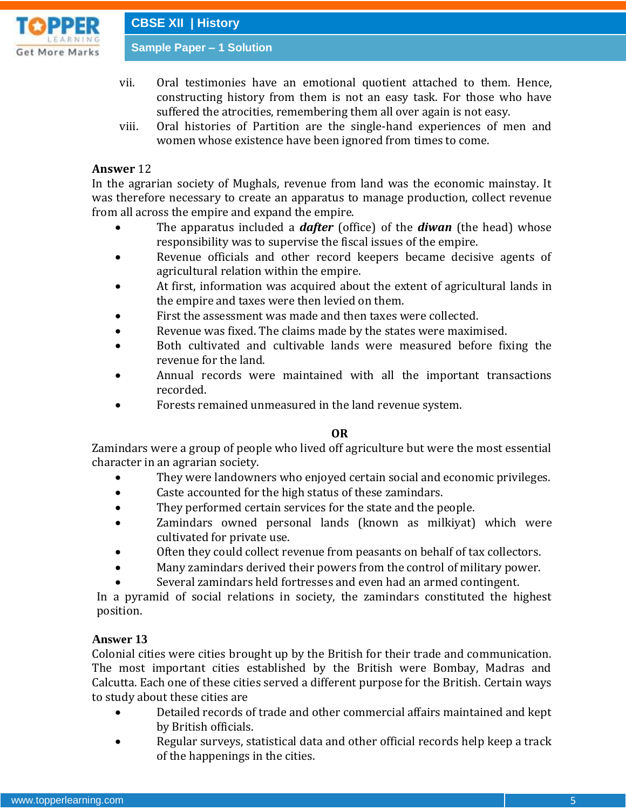

**CBSE XII | History**

**Sample Paper – 1 Solution**

- vii. Oral testimonies have an emotional quotient attached to them. Hence, constructing history from them is not an easy task. For those who have suffered the atrocities, remembering them all over again is not easy.
- viii. Oral histories of Partition are the single-hand experiences of men and women whose existence have been ignored from times to come.

# **Answer** 12

In the agrarian society of Mughals, revenue from land was the economic mainstay. It was therefore necessary to create an apparatus to manage production, collect revenue from all across the empire and expand the empire.

- The apparatus included a *dafter* (office) of the *diwan* (the head) whose responsibility was to supervise the fiscal issues of the empire.
- Revenue officials and other record keepers became decisive agents of agricultural relation within the empire.
- At first, information was acquired about the extent of agricultural lands in the empire and taxes were then levied on them.
- First the assessment was made and then taxes were collected.
- Revenue was fixed. The claims made by the states were maximised.
- Both cultivated and cultivable lands were measured before fixing the revenue for the land.
- Annual records were maintained with all the important transactions recorded.
- Forests remained unmeasured in the land revenue system.

# **OR**

Zamindars were a group of people who lived off agriculture but were the most essential character in an agrarian society.

- They were landowners who enjoyed certain social and economic privileges.
- Caste accounted for the high status of these zamindars.
- They performed certain services for the state and the people.
- Zamindars owned personal lands (known as milkiyat) which were cultivated for private use.
- Often they could collect revenue from peasants on behalf of tax collectors.
- Many zamindars derived their powers from the control of military power.
- Several zamindars held fortresses and even had an armed contingent.

In a pyramid of social relations in society, the zamindars constituted the highest position.

# **Answer 13**

Colonial cities were cities brought up by the British for their trade and communication. The most important cities established by the British were Bombay, Madras and Calcutta. Each one of these cities served a different purpose for the British. Certain ways to study about these cities are

- Detailed records of trade and other commercial affairs maintained and kept by British officials.
- Regular surveys, statistical data and other official records help keep a track of the happenings in the cities.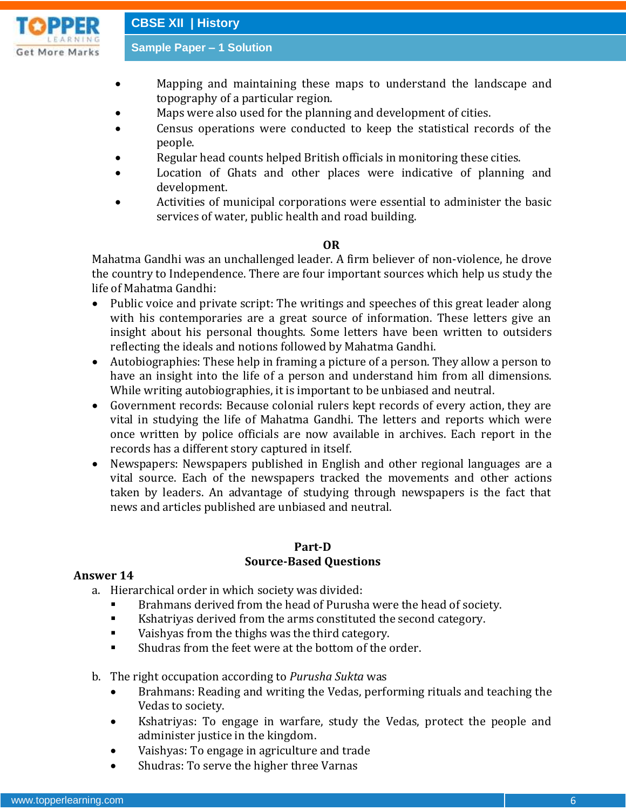

- Mapping and maintaining these maps to understand the landscape and topography of a particular region.
- Maps were also used for the planning and development of cities.
- Census operations were conducted to keep the statistical records of the people.
- Regular head counts helped British officials in monitoring these cities.
- Location of Ghats and other places were indicative of planning and development.
- Activities of municipal corporations were essential to administer the basic services of water, public health and road building.

## **OR**

Mahatma Gandhi was an unchallenged leader. A firm believer of non-violence, he drove the country to Independence. There are four important sources which help us study the life of Mahatma Gandhi:

- Public voice and private script: The writings and speeches of this great leader along with his contemporaries are a great source of information. These letters give an insight about his personal thoughts. Some letters have been written to outsiders reflecting the ideals and notions followed by Mahatma Gandhi.
- Autobiographies: These help in framing a picture of a person. They allow a person to have an insight into the life of a person and understand him from all dimensions. While writing autobiographies, it is important to be unbiased and neutral.
- Government records: Because colonial rulers kept records of every action, they are vital in studying the life of Mahatma Gandhi. The letters and reports which were once written by police officials are now available in archives. Each report in the records has a different story captured in itself.
- Newspapers: Newspapers published in English and other regional languages are a vital source. Each of the newspapers tracked the movements and other actions taken by leaders. An advantage of studying through newspapers is the fact that news and articles published are unbiased and neutral.

### **Part-D Source-Based Questions**

# **Answer 14**

a. Hierarchical order in which society was divided:

- Brahmans derived from the head of Purusha were the head of society.
- Kshatriyas derived from the arms constituted the second category.
- Vaishyas from the thighs was the third category.
- Shudras from the feet were at the bottom of the order.
- b. The right occupation according to *Purusha Sukta* was
	- Brahmans: Reading and writing the Vedas, performing rituals and teaching the Vedas to society.
	- Kshatriyas: To engage in warfare, study the Vedas, protect the people and administer justice in the kingdom.
	- Vaishyas: To engage in agriculture and trade
	- Shudras: To serve the higher three Varnas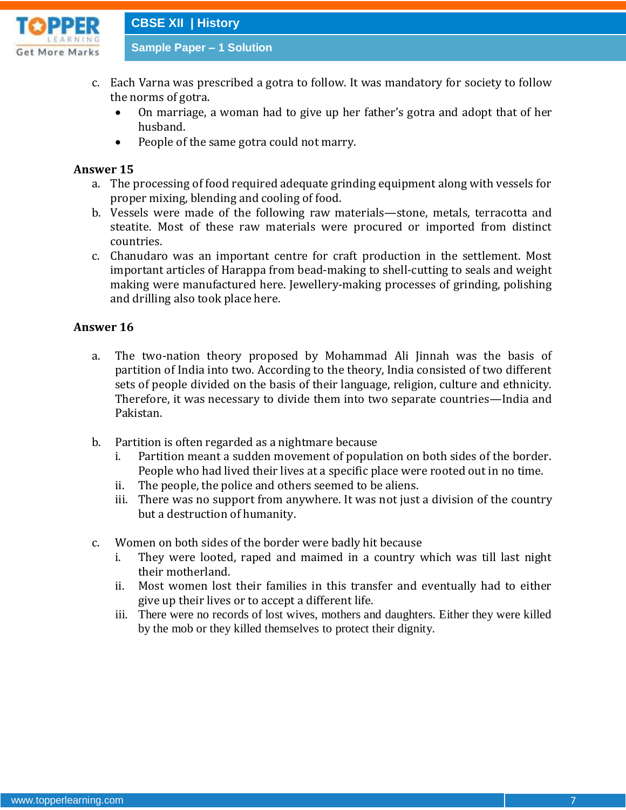

**CBSE XII | History**

**Sample Paper – 1 Solution**

- c. Each Varna was prescribed a gotra to follow. It was mandatory for society to follow the norms of gotra.
	- On marriage, a woman had to give up her father's gotra and adopt that of her husband.
	- People of the same gotra could not marry.

# **Answer 15**

- a. The processing of food required adequate grinding equipment along with vessels for proper mixing, blending and cooling of food.
- b. Vessels were made of the following raw materials—stone, metals, terracotta and steatite. Most of these raw materials were procured or imported from distinct countries.
- c. Chanudaro was an important centre for craft production in the settlement. Most important articles of Harappa from bead-making to shell-cutting to seals and weight making were manufactured here. Jewellery-making processes of grinding, polishing and drilling also took place here.

# **Answer 16**

- a. The two-nation theory proposed by Mohammad Ali Jinnah was the basis of partition of India into two. According to the theory, India consisted of two different sets of people divided on the basis of their language, religion, culture and ethnicity. Therefore, it was necessary to divide them into two separate countries—India and Pakistan.
- b. Partition is often regarded as a nightmare because
	- i. Partition meant a sudden movement of population on both sides of the border. People who had lived their lives at a specific place were rooted out in no time.
	- ii. The people, the police and others seemed to be aliens.
	- iii. There was no support from anywhere. It was not just a division of the country but a destruction of humanity.
- c. Women on both sides of the border were badly hit because
	- i. They were looted, raped and maimed in a country which was till last night their motherland.
	- ii. Most women lost their families in this transfer and eventually had to either give up their lives or to accept a different life.
	- iii. There were no records of lost wives, mothers and daughters. Either they were killed by the mob or they killed themselves to protect their dignity.